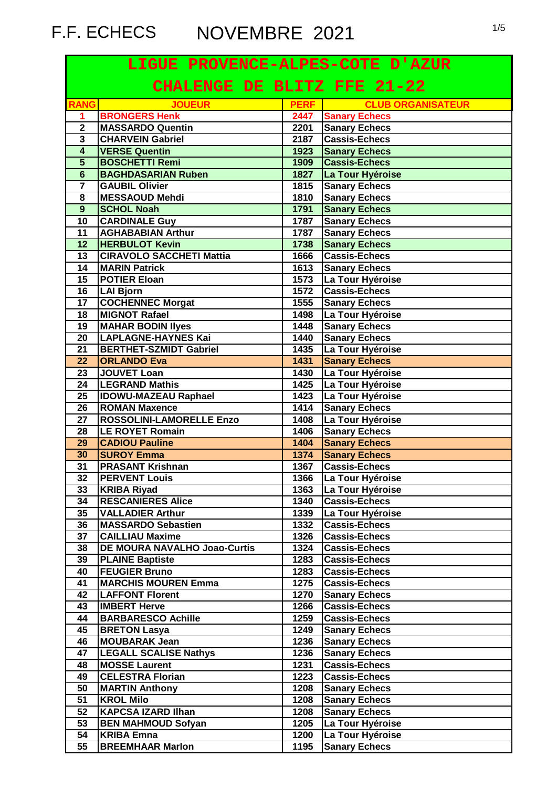# F.F. ECHECS NOVEMBRE 2021

| LIGUE PROVENCE-ALPES-COTE D'AZUR   |                                                               |              |                                  |
|------------------------------------|---------------------------------------------------------------|--------------|----------------------------------|
| <b>CHALENGE DE BLITZ FFE 21-22</b> |                                                               |              |                                  |
| <b>RANG</b>                        | <b>JOUEUR</b>                                                 | <b>PERF</b>  | <b>EXAMPLE CLUB ORGANISATEUR</b> |
| 1                                  | <b>BRONGERS Henk</b>                                          | 2447         | <b>Sanary Echecs</b>             |
| $\overline{2}$                     | <b>MASSARDO Quentin</b>                                       | 2201         | <b>Sanary Echecs</b>             |
| 3                                  | <b>CHARVEIN Gabriel</b>                                       | 2187         | <b>Cassis-Echecs</b>             |
| $\overline{4}$                     | <b>VERSE Quentin</b>                                          | 1923         | <b>Sanary Echecs</b>             |
| $\overline{5}$                     | <b>BOSCHETTI Remi</b>                                         | 1909         | <b>Cassis-Echecs</b>             |
| $\overline{6}$                     | <b>BAGHDASARIAN Ruben</b>                                     | 1827         | La Tour Hyéroise                 |
| $\overline{7}$                     | <b>GAUBIL Olivier</b>                                         | 1815         | <b>Sanary Echecs</b>             |
| 8                                  | <b>MESSAOUD Mehdi</b>                                         | 1810         | <b>Sanary Echecs</b>             |
| 9                                  | <b>SCHOL Noah</b>                                             | 1791         | <b>Sanary Echecs</b>             |
| $\overline{10}$                    | <b>CARDINALE Guy</b>                                          | 1787         | <b>Sanary Echecs</b>             |
| 11                                 | <b>AGHABABIAN Arthur</b>                                      | 1787         | <b>Sanary Echecs</b>             |
| 12                                 | <b>HERBULOT Kevin</b>                                         | 1738         | <b>Sanary Echecs</b>             |
| 13                                 | <b>CIRAVOLO SACCHETI Mattia</b>                               | 1666         | <b>Cassis-Echecs</b>             |
| 14                                 | <b>MARIN Patrick</b>                                          | 1613         | <b>Sanary Echecs</b>             |
| 15                                 | <b>POTIER Eloan</b>                                           | 1573         | La Tour Hyéroise                 |
| 16                                 | <b>LAI Bjorn</b>                                              | 1572         | <b>Cassis-Echecs</b>             |
| 17                                 | <b>COCHENNEC Morgat</b>                                       | 1555         | <b>Sanary Echecs</b>             |
| 18                                 | <b>MIGNOT Rafael</b>                                          | 1498         | La Tour Hyéroise                 |
| 19                                 | <b>MAHAR BODIN Ilyes</b>                                      | 1448         | <b>Sanary Echecs</b>             |
| 20                                 | LAPLAGNE-HAYNES Kai                                           | 1440         | <b>Sanary Echecs</b>             |
| 21                                 | <b>BERTHET-SZMIDT Gabriel</b>                                 | 1435         | La Tour Hyéroise                 |
| 22                                 | <b>ORLANDO Eva</b>                                            | 1431         | <b>Sanary Echecs</b>             |
| 23                                 | <b>JOUVET Loan</b>                                            | 1430         | La Tour Hyéroise                 |
| 24                                 | <b>LEGRAND Mathis</b>                                         | 1425         | La Tour Hyéroise                 |
| $\overline{25}$                    | <b>IDOWU-MAZEAU Raphael</b>                                   | 1423         | La Tour Hyéroise                 |
| 26                                 | <b>ROMAN Maxence</b>                                          | 1414         | <b>Sanary Echecs</b>             |
| 27                                 | <b>ROSSOLINI-LAMORELLE Enzo</b>                               | 1408         | La Tour Hyéroise                 |
| 28                                 | <b>LE ROYET Romain</b>                                        | 1406         | <b>Sanary Echecs</b>             |
| 29                                 | <b>CADIOU Pauline</b>                                         | 1404         | <b>Sanary Echecs</b>             |
| 30                                 | <b>SUROY Emma</b>                                             | 1374         | <b>Sanary Echecs</b>             |
| 31                                 | <b>PRASANT Krishnan</b>                                       | 1367         | <b>Cassis-Echecs</b>             |
| 32                                 | <b>PERVENT Louis</b>                                          | 1366         | La Tour Hyéroise                 |
| 33                                 | <b>KRIBA Riyad</b>                                            | 1363         | La Tour Hyéroise                 |
| 34                                 | <b>RESCANIERES Alice</b>                                      | 1340         | <b>Cassis-Echecs</b>             |
| 35                                 | <b>VALLADIER Arthur</b>                                       | 1339         | La Tour Hyéroise                 |
| 36                                 | <b>MASSARDO Sebastien</b>                                     | 1332         | <b>Cassis-Echecs</b>             |
|                                    |                                                               |              |                                  |
| 37<br>38                           | <b>CAILLIAU Maxime</b><br><b>DE MOURA NAVALHO Joao-Curtis</b> | 1326<br>1324 | <b>Cassis-Echecs</b>             |
| 39                                 | <b>PLAINE Baptiste</b>                                        | 1283         | <b>Cassis-Echecs</b>             |
| 40                                 | <b>FEUGIER Bruno</b>                                          | 1283         | <b>Cassis-Echecs</b>             |
|                                    |                                                               |              | <b>Cassis-Echecs</b>             |
| 41                                 | <b>MARCHIS MOUREN Emma</b>                                    | 1275         | <b>Cassis-Echecs</b>             |
| 42                                 | <b>LAFFONT Florent</b>                                        | 1270         | <b>Sanary Echecs</b>             |
| 43                                 | <b>IMBERT Herve</b>                                           | 1266         | <b>Cassis-Echecs</b>             |
| 44                                 | <b>BARBARESCO Achille</b>                                     | 1259         | <b>Cassis-Echecs</b>             |
| 45                                 | <b>BRETON Lasya</b>                                           | 1249         | <b>Sanary Echecs</b>             |
| 46                                 | <b>MOUBARAK Jean</b>                                          | 1236         | <b>Sanary Echecs</b>             |
| 47                                 | <b>LEGALL SCALISE Nathys</b>                                  | 1236         | <b>Sanary Echecs</b>             |
| 48                                 | <b>MOSSE Laurent</b>                                          | 1231         | <b>Cassis-Echecs</b>             |
| 49                                 | <b>CELESTRA Florian</b>                                       | 1223         | <b>Cassis-Echecs</b>             |
| 50                                 | <b>MARTIN Anthony</b>                                         | 1208         | <b>Sanary Echecs</b>             |
| 51                                 | <b>KROL Milo</b>                                              | 1208         | <b>Sanary Echecs</b>             |
| 52                                 | <b>KAPCSA IZARD IIhan</b>                                     | 1208         | <b>Sanary Echecs</b>             |
| 53                                 | <b>BEN MAHMOUD Sofyan</b>                                     | 1205         | La Tour Hyéroise                 |
| 54                                 | <b>KRIBA Emna</b>                                             | 1200         | La Tour Hyéroise                 |
| 55                                 | <b>BREEMHAAR Marlon</b>                                       | 1195         | <b>Sanary Echecs</b>             |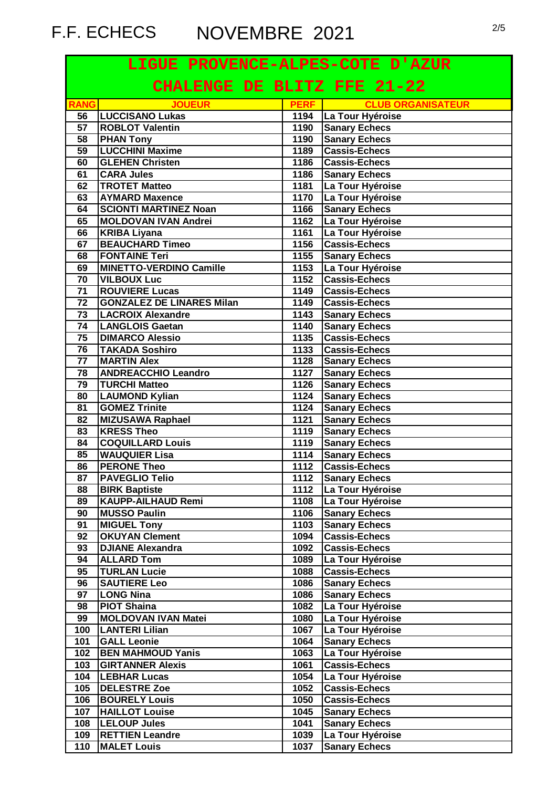# F.F. ECHECS NOVEMBRE 2021 2/5

| LIGUE PROVENCE-ALPES-COTE D'AZUR |                                                    |              |                                              |
|----------------------------------|----------------------------------------------------|--------------|----------------------------------------------|
| CHALENGE DE BLITZ FFE 21-22      |                                                    |              |                                              |
| <b>RANG</b>                      | <b>JOUEUR</b>                                      | <b>PERF</b>  | <b>CLUB ORGANISATEUR</b>                     |
| 56                               | <b>LUCCISANO Lukas</b>                             |              | 1194   La Tour Hyéroise                      |
| 57                               | <b>ROBLOT Valentin</b>                             | 1190         | <b>Sanary Echecs</b>                         |
| 58                               | <b>PHAN Tony</b>                                   | 1190         | <b>Sanary Echecs</b>                         |
| 59                               | <b>LUCCHINI Maxime</b>                             | 1189         | <b>Cassis-Echecs</b>                         |
| 60                               | <b>GLEHEN Christen</b>                             | 1186         | <b>Cassis-Echecs</b>                         |
| 61                               | <b>CARA Jules</b>                                  | 1186         | <b>Sanary Echecs</b>                         |
| 62                               | <b>TROTET Matteo</b>                               | 1181         | La Tour Hyéroise                             |
| 63                               | <b>AYMARD Maxence</b>                              | 1170         | La Tour Hyéroise                             |
| 64<br>65                         | <b>SCIONTI MARTINEZ Noan</b>                       | 1166         | <b>Sanary Echecs</b>                         |
| 66                               | <b>MOLDOVAN IVAN Andrei</b><br><b>KRIBA Liyana</b> | 1162<br>1161 | La Tour Hyéroise<br>La Tour Hyéroise         |
| 67                               | <b>BEAUCHARD Timeo</b>                             | 1156         | <b>Cassis-Echecs</b>                         |
| 68                               | <b>FONTAINE Teri</b>                               | 1155         | <b>Sanary Echecs</b>                         |
| 69                               | <b>MINETTO-VERDINO Camille</b>                     | 1153         | La Tour Hyéroise                             |
| 70                               | <b>VILBOUX Luc</b>                                 | 1152         | <b>Cassis-Echecs</b>                         |
| 71                               | <b>ROUVIERE Lucas</b>                              | 1149         | <b>Cassis-Echecs</b>                         |
| 72                               | <b>GONZALEZ DE LINARES Milan</b>                   | 1149         | <b>Cassis-Echecs</b>                         |
| 73                               | <b>LACROIX Alexandre</b>                           | 1143         | <b>Sanary Echecs</b>                         |
| 74                               | <b>LANGLOIS Gaetan</b>                             | 1140         | <b>Sanary Echecs</b>                         |
| 75                               | <b>DIMARCO Alessio</b>                             | 1135         | <b>Cassis-Echecs</b>                         |
| 76                               | <b>TAKADA Soshiro</b>                              | 1133         | <b>Cassis-Echecs</b>                         |
| $\overline{77}$                  | <b>MARTIN Alex</b>                                 | 1128         | <b>Sanary Echecs</b>                         |
| $\overline{78}$                  | <b>ANDREACCHIO Leandro</b>                         | 1127         | <b>Sanary Echecs</b>                         |
| 79                               | <b>TURCHI Matteo</b>                               | 1126         | <b>Sanary Echecs</b>                         |
| 80                               | <b>LAUMOND Kylian</b>                              | 1124         | <b>Sanary Echecs</b>                         |
| 81                               | <b>GOMEZ Trinite</b>                               | 1124         | <b>Sanary Echecs</b>                         |
| 82                               | <b>MIZUSAWA Raphael</b>                            | 1121         | <b>Sanary Echecs</b>                         |
| 83                               | <b>KRESS Theo</b>                                  | 1119         | <b>Sanary Echecs</b>                         |
| 84                               | <b>COQUILLARD Louis</b>                            | 1119         | <b>Sanary Echecs</b>                         |
| 85                               | <b>WAUQUIER Lisa</b>                               | 1114         | <b>Sanary Echecs</b>                         |
| 86                               | <b>PERONE Theo</b>                                 | 1112         | <b>Cassis-Echecs</b>                         |
| 87                               | <b>PAVEGLIO Telio</b>                              | 1112         | <b>Sanary Echecs</b>                         |
| 88                               | <b>BIRK Baptiste</b>                               | 1112         | La Tour Hyéroise                             |
| 89                               | <b>KAUPP-AILHAUD Remi</b>                          | 1108         | La Tour Hyéroise                             |
| 90                               | <b>MUSSO Paulin</b>                                | 1106         | <b>Sanary Echecs</b>                         |
| 91                               | <b>MIGUEL Tony</b>                                 | 1103         | <b>Sanary Echecs</b>                         |
| 92                               | <b>OKUYAN Clement</b>                              | 1094         | <b>Cassis-Echecs</b>                         |
| 93                               | <b>DJIANE Alexandra</b>                            | 1092         | <b>Cassis-Echecs</b>                         |
| 94                               | <b>ALLARD Tom</b>                                  | 1089         | La Tour Hyéroise                             |
| 95<br>96                         | <b>TURLAN Lucie</b>                                | 1088<br>1086 | <b>Cassis-Echecs</b>                         |
| 97                               | <b>SAUTIERE Leo</b><br><b>LONG Nina</b>            | 1086         | <b>Sanary Echecs</b><br><b>Sanary Echecs</b> |
| 98                               | <b>PIOT Shaina</b>                                 | 1082         | La Tour Hyéroise                             |
| 99                               | <b>MOLDOVAN IVAN Matei</b>                         | 1080         | La Tour Hyéroise                             |
| 100                              | <b>LANTERI Lilian</b>                              | 1067         | La Tour Hyéroise                             |
| 101                              | <b>GALL Leonie</b>                                 | 1064         | <b>Sanary Echecs</b>                         |
| 102                              | <b>BEN MAHMOUD Yanis</b>                           | 1063         | La Tour Hyéroise                             |
| 103                              | <b>GIRTANNER Alexis</b>                            | 1061         | <b>Cassis-Echecs</b>                         |
| 104                              | <b>LEBHAR Lucas</b>                                | 1054         | La Tour Hyéroise                             |
| 105                              | <b>DELESTRE Zoe</b>                                | 1052         | <b>Cassis-Echecs</b>                         |
| 106                              | <b>BOURELY Louis</b>                               | 1050         | <b>Cassis-Echecs</b>                         |
| 107                              | <b>HAILLOT Louise</b>                              | 1045         | <b>Sanary Echecs</b>                         |
| 108                              | <b>LELOUP Jules</b>                                | 1041         | <b>Sanary Echecs</b>                         |
| 109                              | <b>RETTIEN Leandre</b>                             | 1039         | La Tour Hyéroise                             |
| 110                              | <b>MALET Louis</b>                                 | 1037         | <b>Sanary Echecs</b>                         |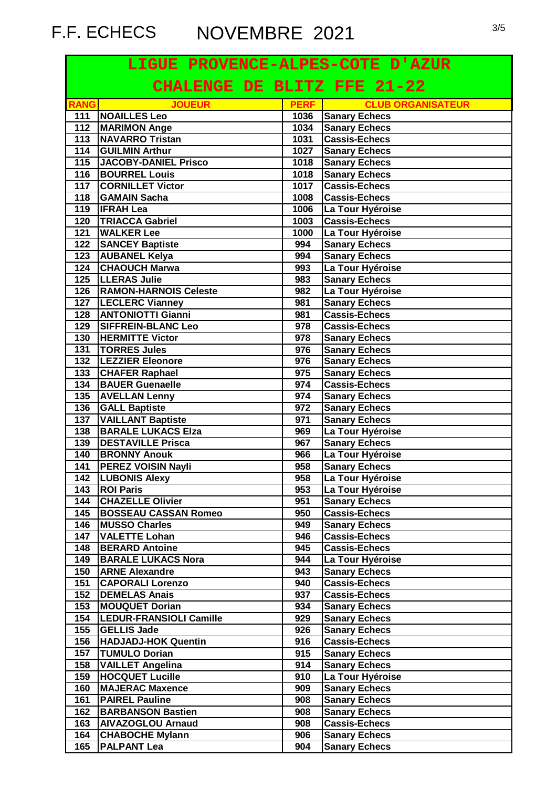# F.F. ECHECS NOVEMBRE 2021 3/5

| LIGUE PROVENCE-ALPES-COTE D'AZUR |                                                    |              |                                          |
|----------------------------------|----------------------------------------------------|--------------|------------------------------------------|
| CHALENGE DE BLITZ FFE 21-22      |                                                    |              |                                          |
| <b>RANG</b>                      | <b>JOUEUR</b>                                      | <b>PERF</b>  | <b>CLUB ORGANISATEUR</b>                 |
| 111                              | <b>NOAILLES</b> Leo                                |              | 1036 Sanary Echecs                       |
| 112                              | <b>MARIMON Ange</b>                                | 1034         | <b>Sanary Echecs</b>                     |
| 113                              | <b>NAVARRO Tristan</b>                             | 1031         | <b>Cassis-Echecs</b>                     |
| 114                              | <b>GUILMIN Arthur</b>                              | 1027         | <b>Sanary Echecs</b>                     |
| 115                              | <b>JACOBY-DANIEL Prisco</b>                        | 1018         | <b>Sanary Echecs</b>                     |
| 116                              | <b>BOURREL Louis</b>                               | 1018         | <b>Sanary Echecs</b>                     |
| 117                              | <b>CORNILLET Victor</b>                            | 1017         | Cassis-Echecs                            |
| 118<br>119                       | <b>GAMAIN Sacha</b><br><b>IFRAH Lea</b>            | 1008<br>1006 | <b>Cassis-Echecs</b>                     |
| 120                              | <b>TRIACCA Gabriel</b>                             | 1003         | La Tour Hyéroise<br><b>Cassis-Echecs</b> |
| 121                              | <b>WALKER Lee</b>                                  | 1000         | La Tour Hyéroise                         |
| $\overline{122}$                 | <b>SANCEY Baptiste</b>                             | 994          | <b>Sanary Echecs</b>                     |
| 123                              | <b>AUBANEL Kelya</b>                               | 994          | <b>Sanary Echecs</b>                     |
| 124                              | <b>CHAOUCH Marwa</b>                               | 993          | La Tour Hyéroise                         |
| 125                              | <b>LLERAS Julie</b>                                | 983          | <b>Sanary Echecs</b>                     |
| 126                              | <b>RAMON-HARNOIS Celeste</b>                       | 982          | La Tour Hyéroise                         |
|                                  | 127 LECLERC Vianney                                | 981          | <b>Sanary Echecs</b>                     |
| 128                              | <b>ANTONIOTTI Gianni</b>                           | 981          | <b>Cassis-Echecs</b>                     |
| 129                              | <b>SIFFREIN-BLANC Leo</b>                          | 978          | <b>Cassis-Echecs</b>                     |
| 130                              | <b>HERMITTE Victor</b>                             | 978          | <b>Sanary Echecs</b>                     |
| $\overline{131}$                 | <b>TORRES Jules</b>                                | 976          | <b>Sanary Echecs</b>                     |
| 132                              | <b>LEZZIER Eleonore</b>                            | 976          | <b>Sanary Echecs</b>                     |
| 133                              | <b>CHAFER Raphael</b>                              | 975          | <b>Sanary Echecs</b>                     |
| 134                              | <b>BAUER Guenaelle</b>                             | 974          | <b>Cassis-Echecs</b>                     |
| 135                              | <b>AVELLAN Lenny</b>                               | 974          | <b>Sanary Echecs</b>                     |
| 136                              | <b>GALL Baptiste</b>                               | 972          | <b>Sanary Echecs</b>                     |
| 137                              | <b>VAILLANT Baptiste</b>                           | 971          | <b>Sanary Echecs</b>                     |
| 138                              | <b>BARALE LUKACS Elza</b>                          | 969          | La Tour Hyéroise                         |
| 139                              | <b>DESTAVILLE Prisca</b>                           | 967          | <b>Sanary Echecs</b>                     |
| 140                              | <b>BRONNY Anouk</b>                                | 966          | La Tour Hyéroise                         |
| $\overline{141}$                 | <b>PEREZ VOISIN Nayli</b>                          | 958          | <b>Sanary Echecs</b>                     |
|                                  | 142   LUBONIS Alexy                                | 958          | La Tour Hyéroise                         |
| 143                              | <b>ROI Paris</b>                                   | 953          | La Tour Hyéroise                         |
| 144                              | <b>CHAZELLE Olivier</b>                            | 951          | <b>Sanary Echecs</b>                     |
| 145                              | <b>BOSSEAU CASSAN Romeo</b>                        | 950          | <b>Cassis-Echecs</b>                     |
| 146                              | <b>MUSSO Charles</b>                               | 949          | <b>Sanary Echecs</b>                     |
| 147<br>148                       | <b>VALETTE Lohan</b>                               | 946<br>945   | <b>Cassis-Echecs</b>                     |
| 149                              | <b>BERARD Antoine</b><br><b>BARALE LUKACS Nora</b> | 944          | <b>Cassis-Echecs</b><br>La Tour Hyéroise |
| 150                              | <b>ARNE Alexandre</b>                              | 943          | <b>Sanary Echecs</b>                     |
| 151                              | <b>CAPORALI Lorenzo</b>                            | 940          | <b>Cassis-Echecs</b>                     |
| 152                              | <b>DEMELAS Anais</b>                               | 937          | <b>Cassis-Echecs</b>                     |
| 153                              | <b>MOUQUET Dorian</b>                              | 934          | <b>Sanary Echecs</b>                     |
| 154                              | <b>LEDUR-FRANSIOLI Camille</b>                     | 929          | <b>Sanary Echecs</b>                     |
| 155                              | <b>GELLIS Jade</b>                                 | 926          | <b>Sanary Echecs</b>                     |
| 156                              | <b>HADJADJ-HOK Quentin</b>                         | 916          | <b>Cassis-Echecs</b>                     |
| 157                              | <b>TUMULO Dorian</b>                               | 915          | <b>Sanary Echecs</b>                     |
| 158                              | <b>VAILLET Angelina</b>                            | 914          | <b>Sanary Echecs</b>                     |
| 159                              | <b>HOCQUET Lucille</b>                             | 910          | La Tour Hyéroise                         |
| 160                              | <b>MAJERAC Maxence</b>                             | 909          | <b>Sanary Echecs</b>                     |
| 161                              | <b>PAIREL Pauline</b>                              | 908          | <b>Sanary Echecs</b>                     |
| 162                              | <b>BARBANSON Bastien</b>                           | 908          | <b>Sanary Echecs</b>                     |
| 163                              | <b>AIVAZOGLOU Arnaud</b>                           | 908          | <b>Cassis-Echecs</b>                     |
| 164                              | <b>CHABOCHE Mylann</b>                             | 906          | <b>Sanary Echecs</b>                     |
| 165                              | <b>PALPANT Lea</b>                                 | 904          | <b>Sanary Echecs</b>                     |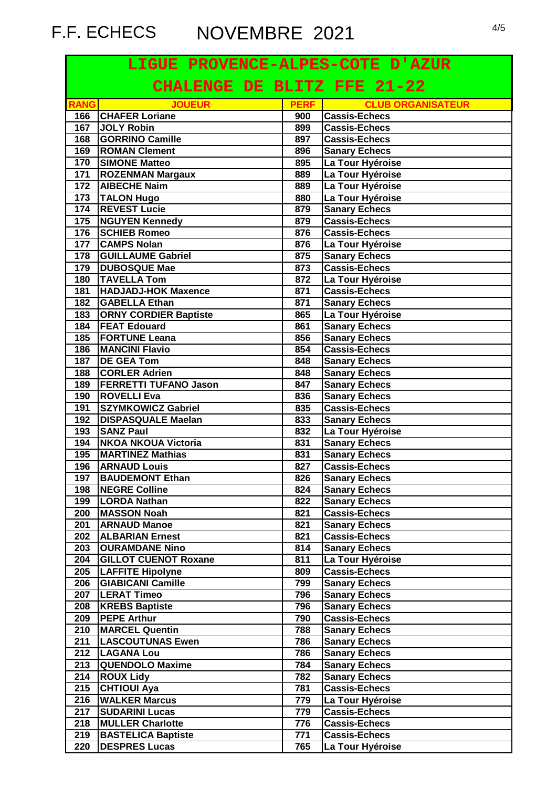# F.F. ECHECS NOVEMBRE 2021

|                             | LIGUE PROVENCE-ALPES-COTE D'AZUR |             |                          |  |
|-----------------------------|----------------------------------|-------------|--------------------------|--|
| CHALENGE DE BLITZ FFE 21-22 |                                  |             |                          |  |
| <b>RANG</b>                 | <b>JOUEUR</b>                    | <b>PERF</b> | <b>CLUB ORGANISATEUR</b> |  |
| 166                         | <b>CHAFER Loriane</b>            | 900         | Cassis-Echecs            |  |
| 167                         | <b>JOLY Robin</b>                | 899         | <b>Cassis-Echecs</b>     |  |
| 168                         | <b>GORRINO Camille</b>           | 897         | <b>Cassis-Echecs</b>     |  |
| 169                         | <b>ROMAN Clement</b>             | 896         | <b>Sanary Echecs</b>     |  |
| 170                         | <b>SIMONE Matteo</b>             | 895         | La Tour Hyéroise         |  |
| 171                         | <b>ROZENMAN Margaux</b>          | 889         | La Tour Hyéroise         |  |
| 172                         | <b>AIBECHE Naim</b>              | 889         | La Tour Hyéroise         |  |
| 173                         | <b>TALON Hugo</b>                | 880         | La Tour Hyéroise         |  |
| 174                         | <b>REVEST Lucie</b>              | 879         | <b>Sanary Echecs</b>     |  |
| $\frac{1}{175}$             | <b>NGUYEN Kennedy</b>            | 879         | <b>Cassis-Echecs</b>     |  |
| 176                         | <b>SCHIEB Romeo</b>              | 876         | Cassis-Echecs            |  |
| 177                         | <b>CAMPS Nolan</b>               | 876         | La Tour Hyéroise         |  |
| 178                         | <b>GUILLAUME Gabriel</b>         | 875         | <b>Sanary Echecs</b>     |  |
| 179                         | <b>DUBOSQUE Mae</b>              | 873         | Cassis-Echecs            |  |
| 180                         | <b>TAVELLA Tom</b>               | 872         | La Tour Hyéroise         |  |
| 181                         | <b>HADJADJ-HOK Maxence</b>       | 871         | <b>Cassis-Echecs</b>     |  |
| 182                         | <b>GABELLA Ethan</b>             | 871         | <b>Sanary Echecs</b>     |  |
| 183                         | <b>ORNY CORDIER Baptiste</b>     | 865         | La Tour Hyéroise         |  |
| 184                         | <b>FEAT Edouard</b>              | 861         | <b>Sanary Echecs</b>     |  |
| 185                         | <b>FORTUNE Leana</b>             | 856         | <b>Sanary Echecs</b>     |  |
| 186                         | <b>MANCINI Flavio</b>            | 854         | <b>Cassis-Echecs</b>     |  |
| 187                         | <b>DE GEA Tom</b>                | 848         | <b>Sanary Echecs</b>     |  |
| 188                         | <b>CORLER Adrien</b>             | 848         | <b>Sanary Echecs</b>     |  |
| 189                         | <b>FERRETTI TUFANO Jason</b>     | 847         | <b>Sanary Echecs</b>     |  |
| 190                         | <b>ROVELLI</b> Eva               | 836         | <b>Sanary Echecs</b>     |  |
| 191                         | <b>SZYMKOWICZ Gabriel</b>        | 835         | <b>Cassis-Echecs</b>     |  |
| 192                         | <b>DISPASQUALE Maelan</b>        | 833         | <b>Sanary Echecs</b>     |  |
| 193                         | <b>SANZ Paul</b>                 | 832         | La Tour Hyéroise         |  |
| 194                         | <b>NKOA NKOUA Victoria</b>       | 831         | <b>Sanary Echecs</b>     |  |
| 195                         | <b>MARTINEZ Mathias</b>          | 831         | <b>Sanary Echecs</b>     |  |
| 196                         | <b>ARNAUD Louis</b>              | 827         | <b>Cassis-Echecs</b>     |  |
| 197                         | <b>BAUDEMONT Ethan</b>           | 826         | <b>Sanary Echecs</b>     |  |
| 198                         | <b>NEGRE Colline</b>             | 824         | <b>Sanary Echecs</b>     |  |
| 199                         | <b>LORDA Nathan</b>              | 822         | <b>Sanary Echecs</b>     |  |
| 200                         | <b>MASSON Noah</b>               | 821         | <b>Cassis-Echecs</b>     |  |
| 201                         | <b>ARNAUD Manoe</b>              | 821         | <b>Sanary Echecs</b>     |  |
| 202                         | <b>ALBARIAN Ernest</b>           | 821         | <b>Cassis-Echecs</b>     |  |
| 203                         | <b>OURAMDANE Nino</b>            | 814         | <b>Sanary Echecs</b>     |  |
| 204                         | <b>GILLOT CUENOT Roxane</b>      | 811         | La Tour Hyéroise         |  |
| 205                         | <b>LAFFITE Hipolyne</b>          | 809         | <b>Cassis-Echecs</b>     |  |
| 206                         | <b>GIABICANI Camille</b>         | 799         | <b>Sanary Echecs</b>     |  |
| 207                         | <b>LERAT Timeo</b>               | 796         | <b>Sanary Echecs</b>     |  |
| 208                         | <b>KREBS Baptiste</b>            | 796         | <b>Sanary Echecs</b>     |  |
| 209                         | <b>PEPE Arthur</b>               | 790         | <b>Cassis-Echecs</b>     |  |
| 210                         | <b>MARCEL Quentin</b>            | 788         | <b>Sanary Echecs</b>     |  |
| 211                         | <b>LASCOUTUNAS Ewen</b>          | 786         | <b>Sanary Echecs</b>     |  |
| 212                         | <b>LAGANA Lou</b>                | 786         | <b>Sanary Echecs</b>     |  |
| 213                         | <b>QUENDOLO Maxime</b>           | 784         | <b>Sanary Echecs</b>     |  |
| 214                         | <b>ROUX Lidy</b>                 | 782         | <b>Sanary Echecs</b>     |  |
| 215                         | <b>CHTIOUI Aya</b>               | 781         | <b>Cassis-Echecs</b>     |  |
| 216                         | <b>WALKER Marcus</b>             | 779         | La Tour Hyéroise         |  |
| 217                         | <b>SUDARINI Lucas</b>            | 779         | <b>Cassis-Echecs</b>     |  |
| 218                         | <b>MULLER Charlotte</b>          | 776         | <b>Cassis-Echecs</b>     |  |
| 219                         | <b>BASTELICA Baptiste</b>        | 771         | <b>Cassis-Echecs</b>     |  |
|                             | <b>DESPRES Lucas</b>             |             |                          |  |
| 220                         |                                  | 765         | La Tour Hyéroise         |  |